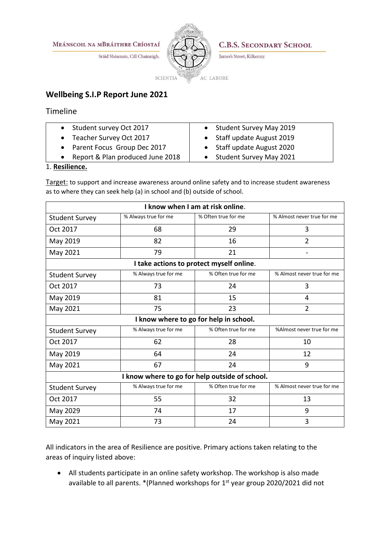MEÁNSCOIL NA MBRÁITHRE CRÍOSTAÍ

Sráid Shéamais, Cill Chainnigh.



**C.B.S. SECONDARY SCHOOL** 

James's Street, Kilkenny.

## **Wellbeing S.I.P Report June 2021**

Timeline

- Student survey Oct 2017
- Teacher Survey Oct 2017
- Parent Focus Group Dec 2017
- Report & Plan produced June 2018
- Student Survey May 2019
- Staff update August 2019
- Staff update August 2020
- Student Survey May 2021

## 1. **Resilience.**

Target: to support and increase awareness around online safety and to increase student awareness as to where they can seek help (a) in school and (b) outside of school.

| I know when I am at risk online.               |                      |                     |                            |  |
|------------------------------------------------|----------------------|---------------------|----------------------------|--|
| <b>Student Survey</b>                          | % Always true for me | % Often true for me | % Almost never true for me |  |
| Oct 2017                                       | 68                   | 29                  | 3                          |  |
| May 2019                                       | 82                   | 16                  | $\overline{2}$             |  |
| May 2021                                       | 79                   | 21                  |                            |  |
| I take actions to protect myself online.       |                      |                     |                            |  |
| <b>Student Survey</b>                          | % Always true for me | % Often true for me | % Almost never true for me |  |
| Oct 2017                                       | 73                   | 24                  | 3                          |  |
| May 2019                                       | 81                   | 15                  | 4                          |  |
| May 2021                                       | 75                   | 23                  | 2                          |  |
| I know where to go for help in school.         |                      |                     |                            |  |
| <b>Student Survey</b>                          | % Always true for me | % Often true for me | %Almost never true for me  |  |
| Oct 2017                                       | 62                   | 28                  | 10                         |  |
| May 2019                                       | 64                   | 24                  | 12                         |  |
| May 2021                                       | 67                   | 24                  | 9                          |  |
| I know where to go for help outside of school. |                      |                     |                            |  |
| <b>Student Survey</b>                          | % Always true for me | % Often true for me | % Almost never true for me |  |
| Oct 2017                                       | 55                   | 32                  | 13                         |  |
| May 2029                                       | 74                   | 17                  | 9                          |  |
| May 2021                                       | 73                   | 24                  | 3                          |  |

All indicators in the area of Resilience are positive. Primary actions taken relating to the areas of inquiry listed above:

 All students participate in an online safety workshop. The workshop is also made available to all parents.  $*($ Planned workshops for  $1<sup>st</sup>$  year group 2020/2021 did not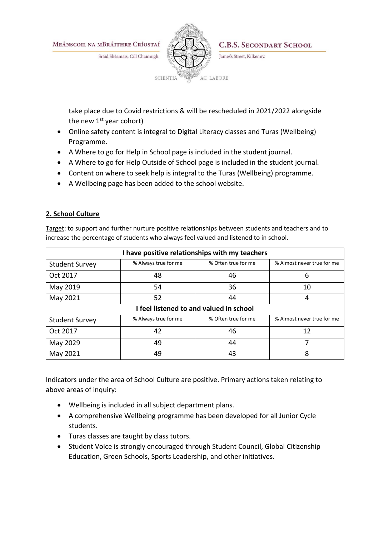MEÁNSCOIL NA MBRÁITHRE CRÍOSTAÍ

Sráid Shéamais, Cill Chainnigh.



**C.B.S. SECONDARY SCHOOL** 

James's Street, Kilkenny.

take place due to Covid restrictions & will be rescheduled in 2021/2022 alongside the new  $1<sup>st</sup>$  year cohort)

- Online safety content is integral to Digital Literacy classes and Turas (Wellbeing) Programme.
- A Where to go for Help in School page is included in the student journal.
- A Where to go for Help Outside of School page is included in the student journal.
- Content on where to seek help is integral to the Turas (Wellbeing) programme.
- A Wellbeing page has been added to the school website.

## **2. School Culture**

Target: to support and further nurture positive relationships between students and teachers and to increase the percentage of students who always feel valued and listened to in school.

| I have positive relationships with my teachers |                      |                     |                            |  |
|------------------------------------------------|----------------------|---------------------|----------------------------|--|
| <b>Student Survey</b>                          | % Always true for me | % Often true for me | % Almost never true for me |  |
| Oct 2017                                       | 48                   | 46                  | 6                          |  |
| May 2019                                       | 54                   | 36                  | 10                         |  |
| May 2021                                       | 52                   | 44                  | 4                          |  |
| I feel listened to and valued in school        |                      |                     |                            |  |
| <b>Student Survey</b>                          | % Always true for me | % Often true for me | % Almost never true for me |  |
| Oct 2017                                       | 42                   | 46                  | 12                         |  |
| May 2029                                       | 49                   | 44                  |                            |  |
| May 2021                                       | 49                   | 43                  | 8                          |  |

Indicators under the area of School Culture are positive. Primary actions taken relating to above areas of inquiry:

- Wellbeing is included in all subject department plans.
- A comprehensive Wellbeing programme has been developed for all Junior Cycle students.
- Turas classes are taught by class tutors.
- Student Voice is strongly encouraged through Student Council, Global Citizenship Education, Green Schools, Sports Leadership, and other initiatives.